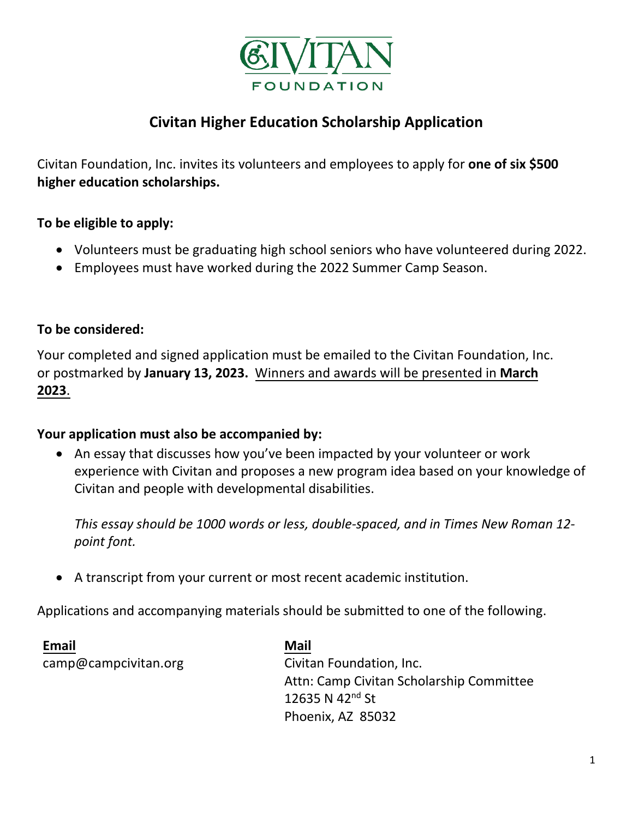

# **Civitan Higher Education Scholarship Application**

Civitan Foundation, Inc. invites its volunteers and employees to apply for **one of six \$500 higher education scholarships.**

## **To be eligible to apply:**

- Volunteers must be graduating high school seniors who have volunteered during 2022.
- Employees must have worked during the 2022 Summer Camp Season.

## **To be considered:**

Your completed and signed application must be emailed to the Civitan Foundation, Inc. or postmarked by **January 13, 2023.** Winners and awards will be presented in **March 2023**.

## **Your application must also be accompanied by:**

• An essay that discusses how you've been impacted by your volunteer or work experience with Civitan and proposes a new program idea based on your knowledge of Civitan and people with developmental disabilities.

*This essay should be 1000 words or less, double-spaced, and in Times New Roman 12 point font.*

• A transcript from your current or most recent academic institution.

Applications and accompanying materials should be submitted to one of the following.

**Email** camp@campcivitan.org

**Mail** Civitan Foundation, Inc. Attn: Camp Civitan Scholarship Committee 12635 N 42<sup>nd</sup> St Phoenix, AZ 85032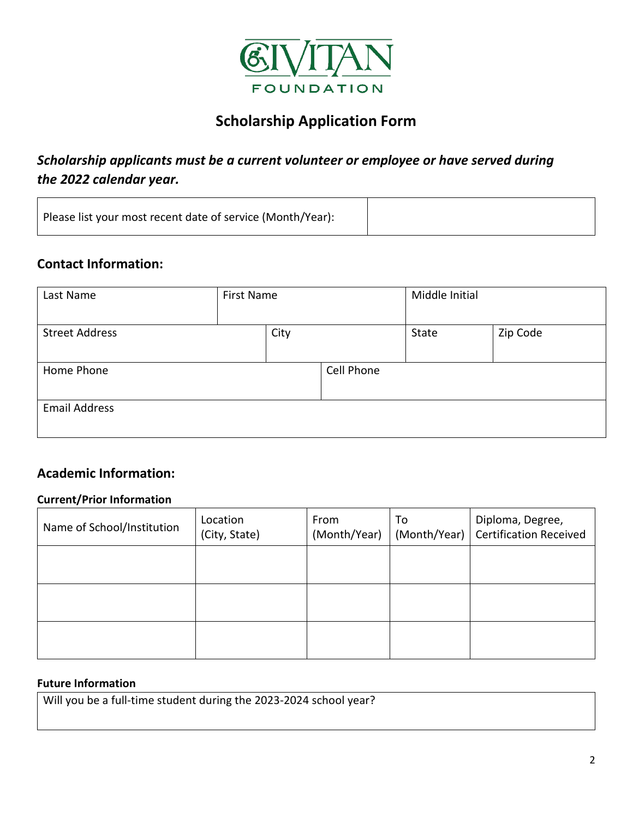

# **Scholarship Application Form**

## *Scholarship applicants must be a current volunteer or employee or have served during the 2022 calendar year.*

| Please list your most recent date of service (Month/Year): |  |
|------------------------------------------------------------|--|
|                                                            |  |

## **Contact Information:**

| Last Name             | First Name |            | Middle Initial |          |
|-----------------------|------------|------------|----------------|----------|
| <b>Street Address</b> | City       |            | State          | Zip Code |
| Home Phone            |            | Cell Phone |                |          |
| <b>Email Address</b>  |            |            |                |          |

## **Academic Information:**

#### **Current/Prior Information**

| Name of School/Institution | Location<br>(City, State) | From<br>(Month/Year) | To<br>(Month/Year) | Diploma, Degree,<br>Certification Received |
|----------------------------|---------------------------|----------------------|--------------------|--------------------------------------------|
|                            |                           |                      |                    |                                            |
|                            |                           |                      |                    |                                            |
|                            |                           |                      |                    |                                            |

#### **Future Information**

Will you be a full-time student during the 2023-2024 school year?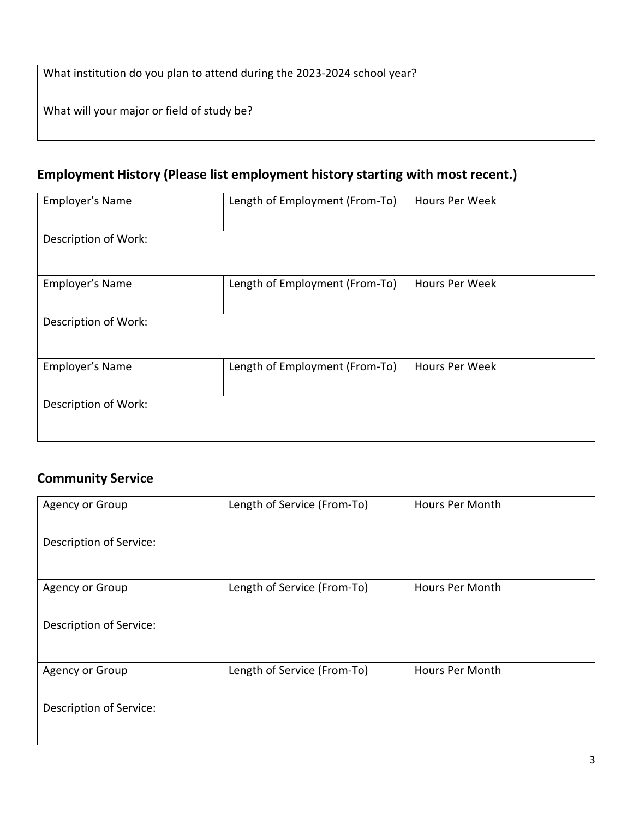| What institution do you plan to attend during the 2023-2024 school year? |  |
|--------------------------------------------------------------------------|--|
|--------------------------------------------------------------------------|--|

What will your major or field of study be?

# **Employment History (Please list employment history starting with most recent.)**

| Employer's Name      | Length of Employment (From-To) | <b>Hours Per Week</b> |
|----------------------|--------------------------------|-----------------------|
| Description of Work: |                                |                       |
| Employer's Name      | Length of Employment (From-To) | <b>Hours Per Week</b> |
| Description of Work: |                                |                       |
| Employer's Name      | Length of Employment (From-To) | <b>Hours Per Week</b> |
| Description of Work: |                                |                       |

## **Community Service**

| Agency or Group                | Length of Service (From-To) | Hours Per Month        |
|--------------------------------|-----------------------------|------------------------|
| Description of Service:        |                             |                        |
| Agency or Group                | Length of Service (From-To) | Hours Per Month        |
| <b>Description of Service:</b> |                             |                        |
| Agency or Group                | Length of Service (From-To) | <b>Hours Per Month</b> |
| Description of Service:        |                             |                        |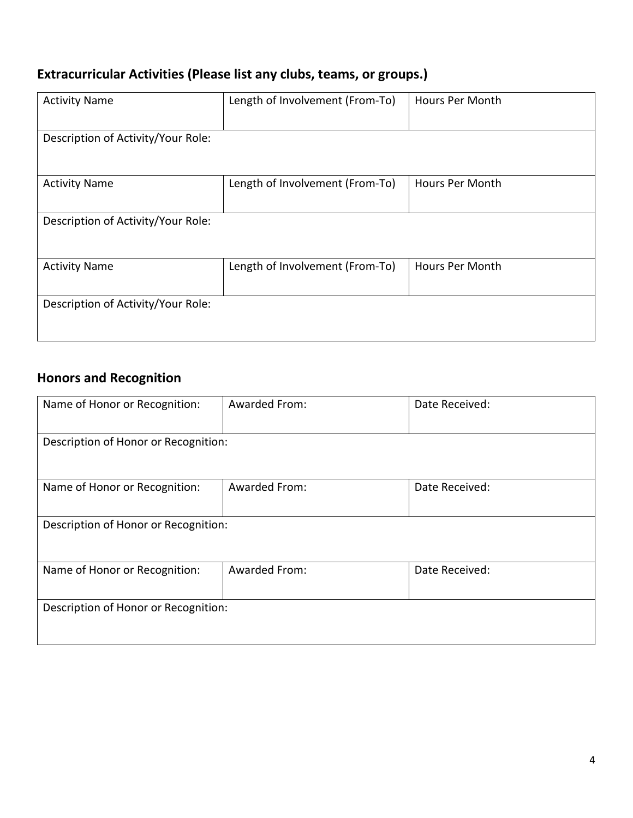# **Extracurricular Activities (Please list any clubs, teams, or groups.)**

| <b>Activity Name</b>               | Length of Involvement (From-To) | Hours Per Month        |
|------------------------------------|---------------------------------|------------------------|
| Description of Activity/Your Role: |                                 |                        |
| <b>Activity Name</b>               | Length of Involvement (From-To) | Hours Per Month        |
| Description of Activity/Your Role: |                                 |                        |
| <b>Activity Name</b>               | Length of Involvement (From-To) | <b>Hours Per Month</b> |
| Description of Activity/Your Role: |                                 |                        |

# **Honors and Recognition**

| Name of Honor or Recognition:        | <b>Awarded From:</b> | Date Received: |  |
|--------------------------------------|----------------------|----------------|--|
| Description of Honor or Recognition: |                      |                |  |
| Name of Honor or Recognition:        | Awarded From:        | Date Received: |  |
| Description of Honor or Recognition: |                      |                |  |
| Name of Honor or Recognition:        | Awarded From:        | Date Received: |  |
| Description of Honor or Recognition: |                      |                |  |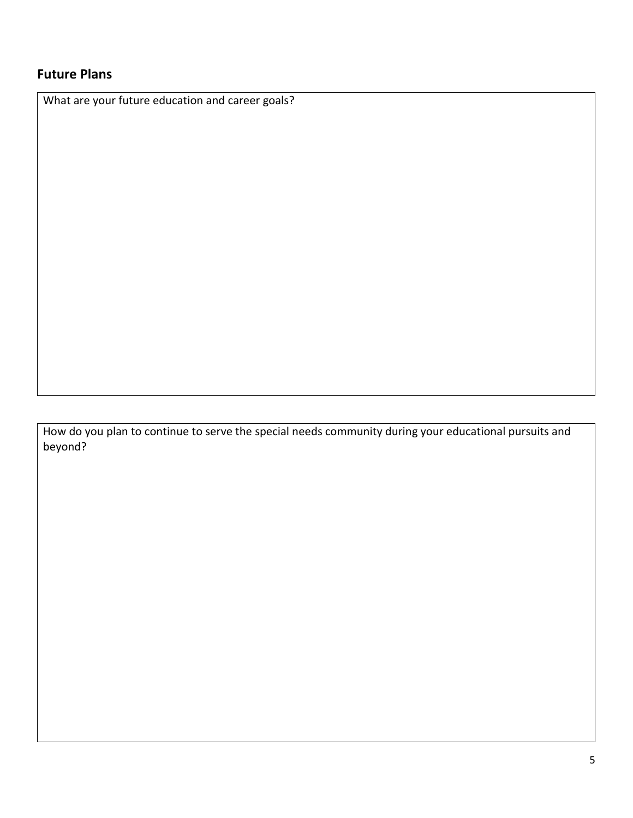## **Future Plans**

What are your future education and career goals?

How do you plan to continue to serve the special needs community during your educational pursuits and beyond?